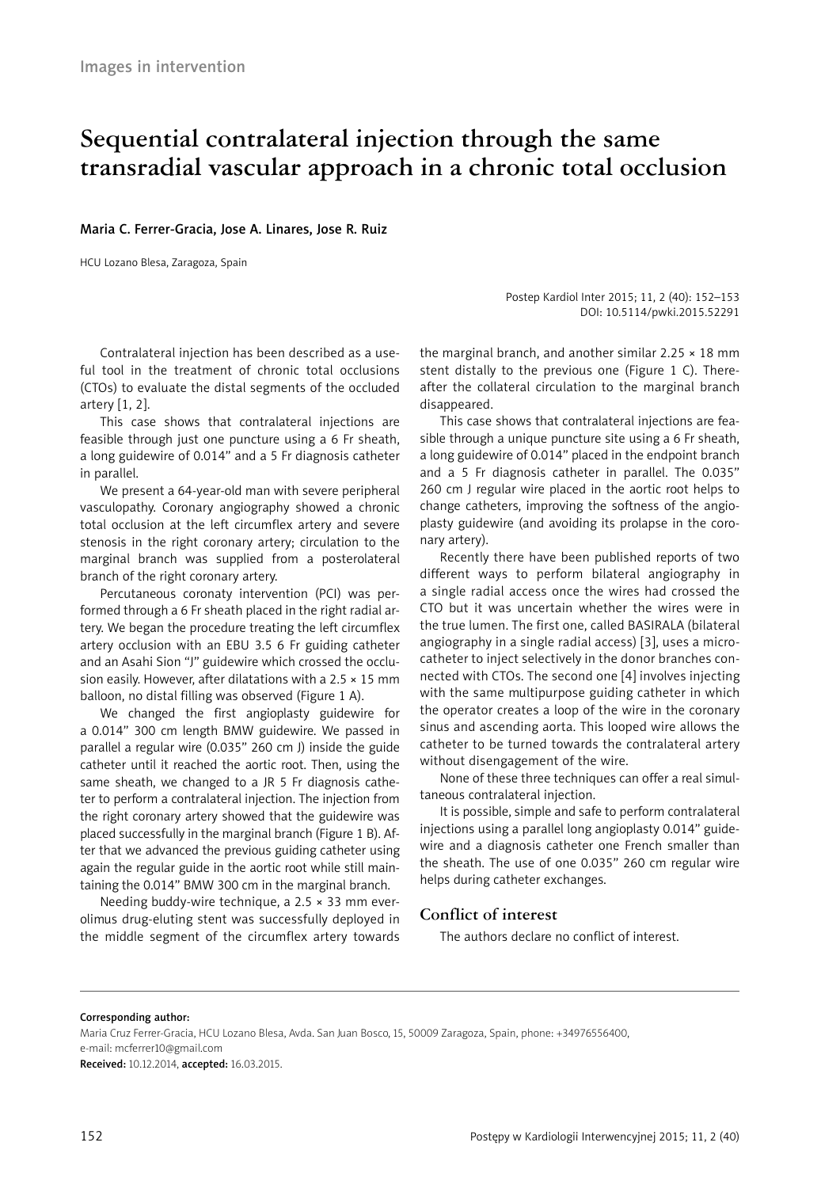# **Sequential contralateral injection through the same transradial vascular approach in a chronic total occlusion**

## Maria C. Ferrer-Gracia, Jose A. Linares, Jose R. Ruiz

HCU Lozano Blesa, Zaragoza, Spain

Postep Kardiol Inter 2015; 11, 2 (40): 152–153 DOI: 10.5114/pwki.2015.52291

Contralateral injection has been described as a useful tool in the treatment of chronic total occlusions (CTOs) to evaluate the distal segments of the occluded artery [1, 2].

This case shows that contralateral injections are feasible through just one puncture using a 6 Fr sheath, a long guidewire of 0.014" and a 5 Fr diagnosis catheter in parallel.

We present a 64-year-old man with severe peripheral vasculopathy. Coronary angiography showed a chronic total occlusion at the left circumflex artery and severe stenosis in the right coronary artery; circulation to the marginal branch was supplied from a posterolateral branch of the right coronary artery.

Percutaneous coronaty intervention (PCI) was performed through a 6 Fr sheath placed in the right radial artery. We began the procedure treating the left circumflex artery occlusion with an EBU 3.5 6 Fr guiding catheter and an Asahi Sion "J" guidewire which crossed the occlusion easily. However, after dilatations with a 2.5  $\times$  15 mm balloon, no distal filling was observed (Figure 1 A).

We changed the first angioplasty guidewire for a 0.014" 300 cm length BMW guidewire. We passed in parallel a regular wire (0.035" 260 cm J) inside the guide catheter until it reached the aortic root. Then, using the same sheath, we changed to a JR 5 Fr diagnosis catheter to perform a contralateral injection. The injection from the right coronary artery showed that the guidewire was placed successfully in the marginal branch (Figure 1 B). After that we advanced the previous guiding catheter using again the regular guide in the aortic root while still maintaining the 0.014" BMW 300 cm in the marginal branch.

Needing buddy-wire technique, a 2.5 × 33 mm everolimus drug-eluting stent was successfully deployed in the middle segment of the circumflex artery towards

the marginal branch, and another similar  $2.25 \times 18$  mm stent distally to the previous one (Figure 1 C). Thereafter the collateral circulation to the marginal branch disappeared.

This case shows that contralateral injections are feasible through a unique puncture site using a 6 Fr sheath, a long guidewire of 0.014" placed in the endpoint branch and a 5 Fr diagnosis catheter in parallel. The 0.035" 260 cm J regular wire placed in the aortic root helps to change catheters, improving the softness of the angioplasty guidewire (and avoiding its prolapse in the coronary artery).

Recently there have been published reports of two different ways to perform bilateral angiography in a single radial access once the wires had crossed the CTO but it was uncertain whether the wires were in the true lumen. The first one, called BASIRALA (bilateral angiography in a single radial access) [3], uses a microcatheter to inject selectively in the donor branches connected with CTOs. The second one [4] involves injecting with the same multipurpose guiding catheter in which the operator creates a loop of the wire in the coronary sinus and ascending aorta. This looped wire allows the catheter to be turned towards the contralateral artery without disengagement of the wire.

None of these three techniques can offer a real simultaneous contralateral injection.

It is possible, simple and safe to perform contralateral injections using a parallel long angioplasty 0.014" guidewire and a diagnosis catheter one French smaller than the sheath. The use of one 0.035" 260 cm regular wire helps during catheter exchanges.

# **Conflict of interest**

The authors declare no conflict of interest.

#### Corresponding author:

Maria Cruz Ferrer-Gracia, HCU Lozano Blesa, Avda. San Juan Bosco, 15, 50009 Zaragoza, Spain, phone: +34976556400, e-mail: mcferrer10@gmail.com

Received: 10.12.2014, accepted: 16.03.2015.